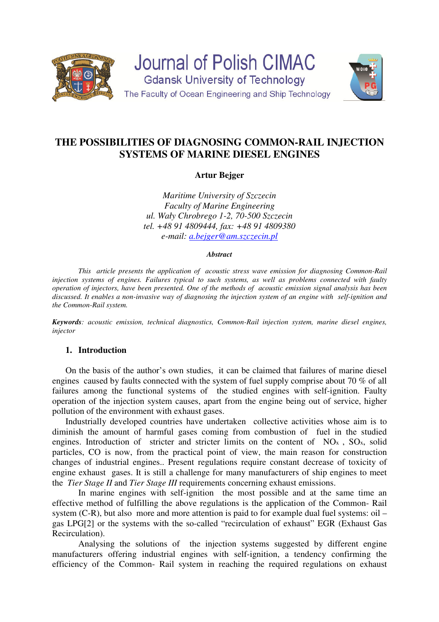

**Journal of Polish CIMAC Gdansk University of Technology** The Faculty of Ocean Engineering and Ship Technology



# **THE POSSIBILITIES OF DIAGNOSING COMMON-RAIL INJECTION SYSTEMS OF MARINE DIESEL ENGINES**

# **Artur Bejger**

*Maritime University of Szczecin Faculty of Marine Engineering ul. Wały Chrobrego 1-2, 70-500 Szczecin tel. +48 91 4809444, fax: +48 91 4809380 e-mail: a.bejger@am.szczecin.pl*

#### *Abstract*

 *This article presents the application of acoustic stress wave emission for diagnosing Common-Rail injection systems of engines. Failures typical to such systems, as well as problems connected with faulty operation of injectors, have been presented. One of the methods of acoustic emission signal analysis has been discussed. It enables a non-invasive way of diagnosing the injection system of an engine with self-ignition and the Common-Rail system.* 

*Keywords: acoustic emission, technical diagnostics, Common-Rail injection system, marine diesel engines, injector* 

### **1. Introduction**

On the basis of the author's own studies, it can be claimed that failures of marine diesel engines caused by faults connected with the system of fuel supply comprise about 70 % of all failures among the functional systems of the studied engines with self-ignition. Faulty operation of the injection system causes, apart from the engine being out of service, higher pollution of the environment with exhaust gases.

Industrially developed countries have undertaken collective activities whose aim is to diminish the amount of harmful gases coming from combustion of fuel in the studied engines. Introduction of stricter and stricter limits on the content of NO<sub>x</sub>, SO<sub>x</sub>, solid particles, CO is now, from the practical point of view, the main reason for construction changes of industrial engines.. Present regulations require constant decrease of toxicity of engine exhaust gases. It is still a challenge for many manufacturers of ship engines to meet the *Tier Stage II* and *Tier Stage III* requirements concerning exhaust emissions.

In marine engines with self-ignition the most possible and at the same time an effective method of fulfilling the above regulations is the application of the Common- Rail system (C-R), but also more and more attention is paid to for example dual fuel systems: oil – gas LPG[2] or the systems with the so-called "recirculation of exhaust" EGR (Exhaust Gas Recirculation).

Analysing the solutions of the injection systems suggested by different engine manufacturers offering industrial engines with self-ignition, a tendency confirming the efficiency of the Common- Rail system in reaching the required regulations on exhaust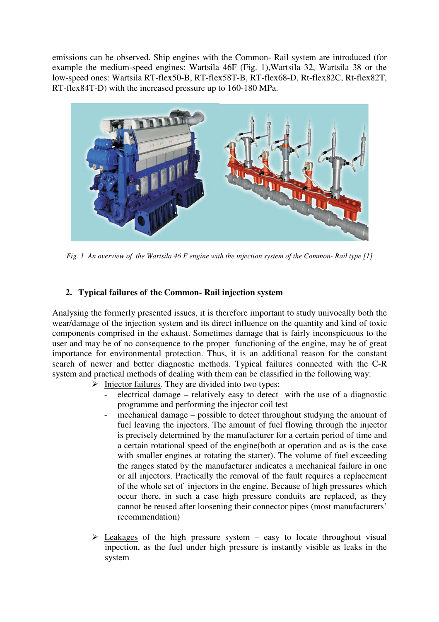emissions can be observed. Ship engines with the Common- Rail system are introduced (for example the medium-speed engines: Wartsila 46F (Fig. 1),Wartsila 32, Wartsila 38 or the low-speed ones: Wartsila RT-flex50-B, RT-flex58T-B, RT-flex68-D, Rt-flex82C, Rt-flex82T, RT-flex84T-D) with the increased pressure up to 160-180 MPa.



*Fig. 1 An overview of the Wartsila 46 F engine with the injection system of the Common- Rail type [1]* 

# **2. Typical failures of the Common- Rail injection system**

Analysing the formerly presented issues, it is therefore important to study univocally both the wear/damage of the injection system and its direct influence on the quantity and kind of toxic components comprised in the exhaust. Sometimes damage that is fairly inconspicuous to the user and may be of no consequence to the proper functioning of the engine, may be of great importance for environmental protection. Thus, it is an additional reason for the constant search of newer and better diagnostic methods. Typical failures connected with the C-R system and practical methods of dealing with them can be classified in the following way:

- $\triangleright$  Injector failures. They are divided into two types:
	- electrical damage relatively easy to detect with the use of a diagnostic programme and performing the injector coil test
	- mechanical damage possible to detect throughout studying the amount of fuel leaving the injectors. The amount of fuel flowing through the injector is precisely determined by the manufacturer for a certain period of time and a certain rotational speed of the engine(both at operation and as is the case with smaller engines at rotating the starter). The volume of fuel exceeding the ranges stated by the manufacturer indicates a mechanical failure in one or all injectors. Practically the removal of the fault requires a replacement of the whole set of injectors in the engine. Because of high pressures which occur there, in such a case high pressure conduits are replaced, as they cannot be reused after loosening their connector pipes (most manufacturers' recommendation)
- $\triangleright$  Leakages of the high pressure system easy to locate throughout visual inpection, as the fuel under high pressure is instantly visible as leaks in the system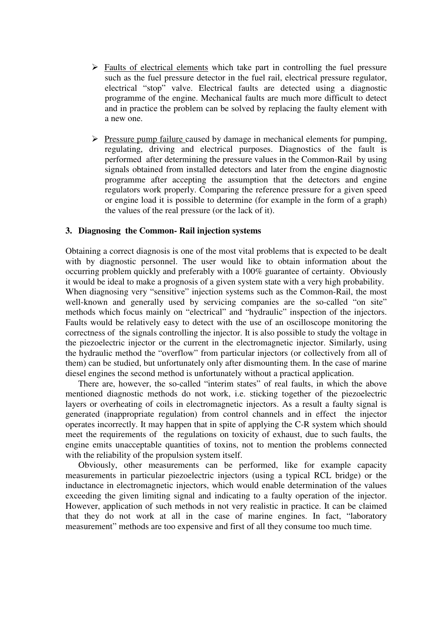- $\triangleright$  Faults of electrical elements which take part in controlling the fuel pressure such as the fuel pressure detector in the fuel rail, electrical pressure regulator, electrical "stop" valve. Electrical faults are detected using a diagnostic programme of the engine. Mechanical faults are much more difficult to detect and in practice the problem can be solved by replacing the faulty element with a new one.
- $\triangleright$  Pressure pump failure caused by damage in mechanical elements for pumping, regulating, driving and electrical purposes. Diagnostics of the fault is performed after determining the pressure values in the Common-Rail by using signals obtained from installed detectors and later from the engine diagnostic programme after accepting the assumption that the detectors and engine regulators work properly. Comparing the reference pressure for a given speed or engine load it is possible to determine (for example in the form of a graph) the values of the real pressure (or the lack of it).

# **3. Diagnosing the Common- Rail injection systems**

Obtaining a correct diagnosis is one of the most vital problems that is expected to be dealt with by diagnostic personnel. The user would like to obtain information about the occurring problem quickly and preferably with a 100% guarantee of certainty. Obviously it would be ideal to make a prognosis of a given system state with a very high probability. When diagnosing very "sensitive" injection systems such as the Common-Rail, the most well-known and generally used by servicing companies are the so-called "on site" methods which focus mainly on "electrical" and "hydraulic" inspection of the injectors. Faults would be relatively easy to detect with the use of an oscilloscope monitoring the correctness of the signals controlling the injector. It is also possible to study the voltage in the piezoelectric injector or the current in the electromagnetic injector. Similarly, using the hydraulic method the "overflow" from particular injectors (or collectively from all of them) can be studied, but unfortunately only after dismounting them. In the case of marine diesel engines the second method is unfortunately without a practical application.

 There are, however, the so-called "interim states" of real faults, in which the above mentioned diagnostic methods do not work, i.e. sticking together of the piezoelectric layers or overheating of coils in electromagnetic injectors. As a result a faulty signal is generated (inappropriate regulation) from control channels and in effect the injector operates incorrectly. It may happen that in spite of applying the C-R system which should meet the requirements of the regulations on toxicity of exhaust, due to such faults, the engine emits unacceptable quantities of toxins, not to mention the problems connected with the reliability of the propulsion system itself.

Obviously, other measurements can be performed, like for example capacity measurements in particular piezoelectric injectors (using a typical RCL bridge) or the inductance in electromagnetic injectors, which would enable determination of the values exceeding the given limiting signal and indicating to a faulty operation of the injector. However, application of such methods in not very realistic in practice. It can be claimed that they do not work at all in the case of marine engines. In fact, "laboratory measurement" methods are too expensive and first of all they consume too much time.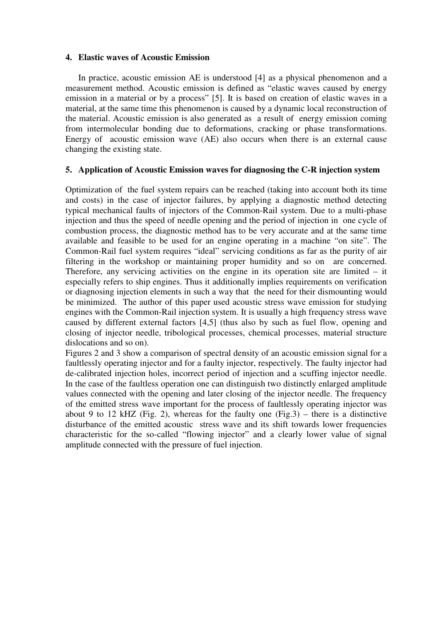### **4. Elastic waves of Acoustic Emission**

In practice, acoustic emission AE is understood [4] as a physical phenomenon and a measurement method. Acoustic emission is defined as "elastic waves caused by energy emission in a material or by a process" [5]. It is based on creation of elastic waves in a material, at the same time this phenomenon is caused by a dynamic local reconstruction of the material. Acoustic emission is also generated as a result of energy emission coming from intermolecular bonding due to deformations, cracking or phase transformations. Energy of acoustic emission wave (AE) also occurs when there is an external cause changing the existing state.

### **5. Application of Acoustic Emission waves for diagnosing the C-R injection system**

Optimization of the fuel system repairs can be reached (taking into account both its time and costs) in the case of injector failures, by applying a diagnostic method detecting typical mechanical faults of injectors of the Common-Rail system. Due to a multi-phase injection and thus the speed of needle opening and the period of injection in one cycle of combustion process, the diagnostic method has to be very accurate and at the same time available and feasible to be used for an engine operating in a machine "on site". The Common-Rail fuel system requires "ideal" servicing conditions as far as the purity of air filtering in the workshop or maintaining proper humidity and so on are concerned. Therefore, any servicing activities on the engine in its operation site are limited – it especially refers to ship engines. Thus it additionally implies requirements on verification or diagnosing injection elements in such a way that the need for their dismounting would be minimized. The author of this paper used acoustic stress wave emission for studying engines with the Common-Rail injection system. It is usually a high frequency stress wave caused by different external factors [4,5] (thus also by such as fuel flow, opening and closing of injector needle, tribological processes, chemical processes, material structure dislocations and so on).

Figures 2 and 3 show a comparison of spectral density of an acoustic emission signal for a faultlessly operating injector and for a faulty injector, respectively. The faulty injector had de-calibrated injection holes, incorrect period of injection and a scuffing injector needle. In the case of the faultless operation one can distinguish two distinctly enlarged amplitude values connected with the opening and later closing of the injector needle. The frequency of the emitted stress wave important for the process of faultlessly operating injector was about 9 to 12 kHZ (Fig. 2), whereas for the faulty one (Fig. 3) – there is a distinctive disturbance of the emitted acoustic stress wave and its shift towards lower frequencies characteristic for the so-called "flowing injector" and a clearly lower value of signal amplitude connected with the pressure of fuel injection.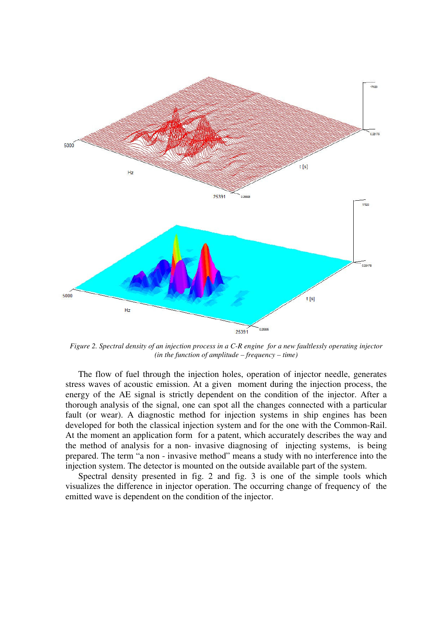

*Figure 2. Spectral density of an injection process in a C-R engine for a new faultlessly operating injector (in the function of amplitude – frequency – time)* 

 The flow of fuel through the injection holes, operation of injector needle, generates stress waves of acoustic emission. At a given moment during the injection process, the energy of the AE signal is strictly dependent on the condition of the injector. After a thorough analysis of the signal, one can spot all the changes connected with a particular fault (or wear). A diagnostic method for injection systems in ship engines has been developed for both the classical injection system and for the one with the Common-Rail. At the moment an application form for a patent, which accurately describes the way and the method of analysis for a non- invasive diagnosing of injecting systems, is being prepared. The term "a non - invasive method" means a study with no interference into the injection system. The detector is mounted on the outside available part of the system.

 Spectral density presented in fig. 2 and fig. 3 is one of the simple tools which visualizes the difference in injector operation. The occurring change of frequency of the emitted wave is dependent on the condition of the injector.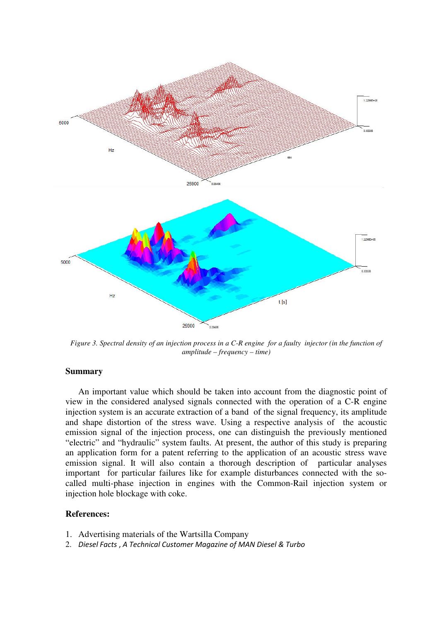

*Figure 3. Spectral density of an injection process in a C-R engine for a faulty injector (in the function of amplitude – frequency – time)* 

#### **Summary**

 An important value which should be taken into account from the diagnostic point of view in the considered analysed signals connected with the operation of a C-R engine injection system is an accurate extraction of a band of the signal frequency, its amplitude and shape distortion of the stress wave. Using a respective analysis of the acoustic emission signal of the injection process, one can distinguish the previously mentioned "electric" and "hydraulic" system faults. At present, the author of this study is preparing an application form for a patent referring to the application of an acoustic stress wave emission signal. It will also contain a thorough description of particular analyses important for particular failures like for example disturbances connected with the socalled multi-phase injection in engines with the Common-Rail injection system or injection hole blockage with coke.

#### **References:**

- 1. Advertising materials of the Wartsilla Company
- 2. *Diesel Facts* , *A Technical Customer Magazine of MAN Diesel & Turbo*